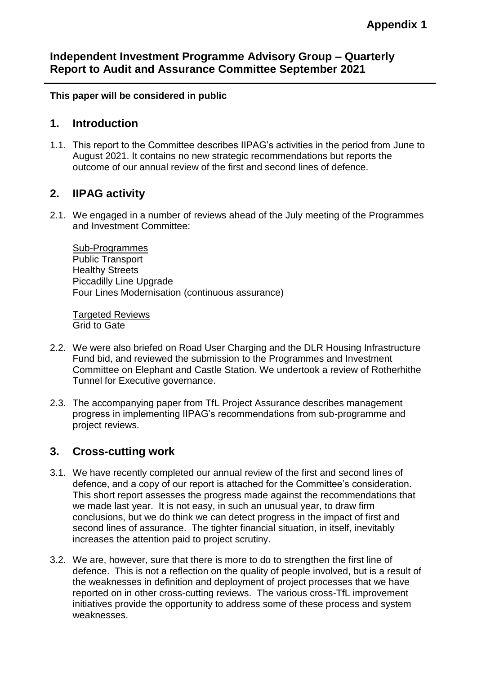## **Independent Investment Programme Advisory Group – Quarterly Report to Audit and Assurance Committee September 2021**

**This paper will be considered in public**

## **1. Introduction**

1.1. This report to the Committee describes IIPAG's activities in the period from June to August 2021. It contains no new strategic recommendations but reports the outcome of our annual review of the first and second lines of defence.

## **2. IIPAG activity**

2.1. We engaged in a number of reviews ahead of the July meeting of the Programmes and Investment Committee:

Sub-Programmes Public Transport Healthy Streets Piccadilly Line Upgrade Four Lines Modernisation (continuous assurance)

Targeted Reviews Grid to Gate

- 2.2. We were also briefed on Road User Charging and the DLR Housing Infrastructure Fund bid, and reviewed the submission to the Programmes and Investment Committee on Elephant and Castle Station. We undertook a review of Rotherhithe Tunnel for Executive governance.
- 2.3. The accompanying paper from TfL Project Assurance describes management progress in implementing IIPAG's recommendations from sub-programme and project reviews.

## **3. Cross-cutting work**

- 3.1. We have recently completed our annual review of the first and second lines of defence, and a copy of our report is attached for the Committee's consideration. This short report assesses the progress made against the recommendations that we made last year. It is not easy, in such an unusual year, to draw firm conclusions, but we do think we can detect progress in the impact of first and second lines of assurance. The tighter financial situation, in itself, inevitably increases the attention paid to project scrutiny.
- 3.2. We are, however, sure that there is more to do to strengthen the first line of defence. This is not a reflection on the quality of people involved, but is a result of the weaknesses in definition and deployment of project processes that we have reported on in other cross-cutting reviews. The various cross-TfL improvement initiatives provide the opportunity to address some of these process and system weaknesses.